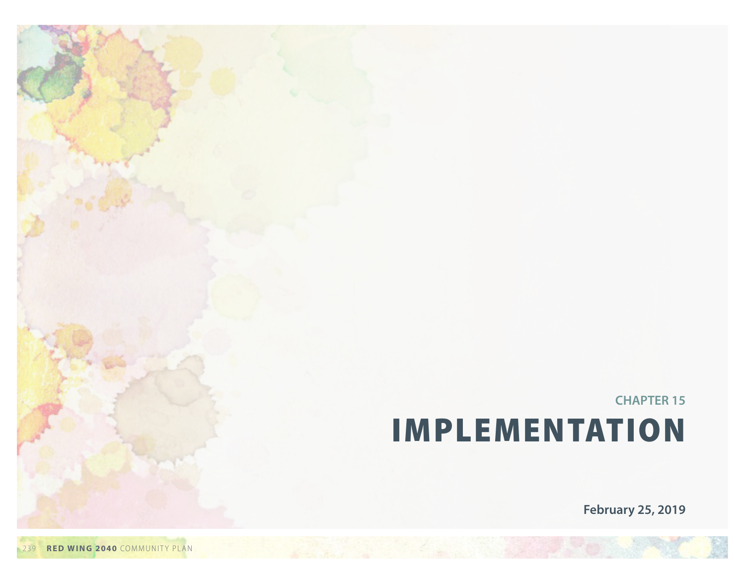**CHAPTER 15** Implementation

**February 25, 2019**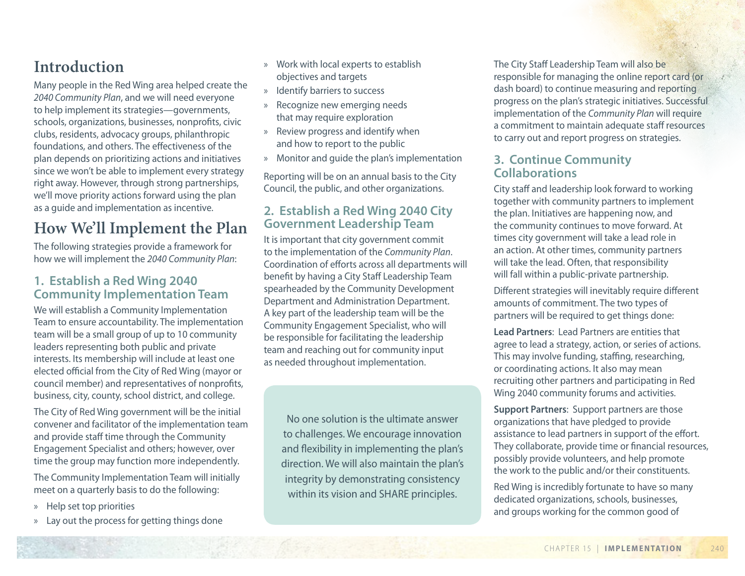## **Introduction**

Many people in the Red Wing area helped create the *2040 Community Plan*, and we will need everyone to help implement its strategies—governments, schools, organizations, businesses, nonprofits, civic clubs, residents, advocacy groups, philanthropic foundations, and others. The effectiveness of the plan depends on prioritizing actions and initiatives since we won't be able to implement every strategy right away. However, through strong partnerships, we'll move priority actions forward using the plan as a guide and implementation as incentive.

# **How We'll Implement the Plan**

The following strategies provide a framework for how we will implement the *2040 Community Plan*:

### **1. Establish a Red Wing 2040 Community Implementation Team**

We will establish a Community Implementation Team to ensure accountability. The implementation team will be a small group of up to 10 community leaders representing both public and private interests. Its membership will include at least one elected official from the City of Red Wing (mayor or council member) and representatives of nonprofits, business, city, county, school district, and college.

The City of Red Wing government will be the initial convener and facilitator of the implementation team and provide staff time through the Community Engagement Specialist and others; however, over time the group may function more independently.

The Community Implementation Team will initially meet on a quarterly basis to do the following:

- » Help set top priorities
- Lay out the process for getting things done
- » Work with local experts to establish objectives and targets
- » Identify barriers to success
- » Recognize new emerging needs that may require exploration
- » Review progress and identify when and how to report to the public
- » Monitor and guide the plan's implementation

Reporting will be on an annual basis to the City Council, the public, and other organizations.

### **2. Establish a Red Wing 2040 City Government Leadership Team**

It is important that city government commit to the implementation of the *Community Plan*. Coordination of efforts across all departments will benefit by having a City Staff Leadership Team spearheaded by the Community Development Department and Administration Department. A key part of the leadership team will be the Community Engagement Specialist, who will be responsible for facilitating the leadership team and reaching out for community input as needed throughout implementation.

No one solution is the ultimate answer to challenges. We encourage innovation and flexibility in implementing the plan's direction. We will also maintain the plan's integrity by demonstrating consistency within its vision and SHARE principles.

The City Staff Leadership Team will also be responsible for managing the online report card (or dash board) to continue measuring and reporting progress on the plan's strategic initiatives. Successful implementation of the *Community Plan* will require a commitment to maintain adequate staff resources to carry out and report progress on strategies.

### **3. Continue Community Collaborations**

City staff and leadership look forward to working together with community partners to implement the plan. Initiatives are happening now, and the community continues to move forward. At times city government will take a lead role in an action. At other times, community partners will take the lead. Often, that responsibility will fall within a public-private partnership.

Different strategies will inevitably require different amounts of commitment. The two types of partners will be required to get things done:

**Lead Partners**: Lead Partners are entities that agree to lead a strategy, action, or series of actions. This may involve funding, staffing, researching, or coordinating actions. It also may mean recruiting other partners and participating in Red Wing 2040 community forums and activities.

**Support Partners**: Support partners are those organizations that have pledged to provide assistance to lead partners in support of the effort. They collaborate, provide time or financial resources, possibly provide volunteers, and help promote the work to the public and/or their constituents.

Red Wing is incredibly fortunate to have so many dedicated organizations, schools, businesses, and groups working for the common good of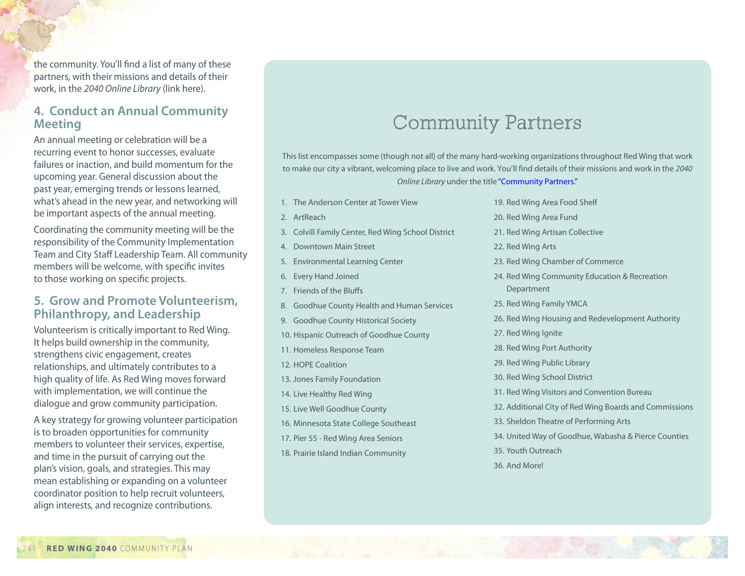the community. You'll find a list of many of these partners, with their missions and details of their work, in the *2040 Online Library* (link here).

### **4. Conduct an Annual Community Meeting**

An annual meeting or celebration will be a recurring event to honor successes, evaluate failures or inaction, and build momentum for the upcoming year. General discussion about the past year, emerging trends or lessons learned, what's ahead in the new year, and networking will be important aspects of the annual meeting.

Coordinating the community meeting will be the responsibility of the Community Implementation Team and City Staff Leadership Team. All community members will be welcome, with specific invites to those working on specific projects.

#### **5. Grow and Promote Volunteerism, Philanthropy, and Leadership**

Volunteerism is critically important to Red Wing. It helps build ownership in the community, strengthens civic engagement, creates relationships, and ultimately contributes to a high quality of life. As Red Wing moves forward with implementation, we will continue the dialogue and grow community participation.

A key strategy for growing volunteer participation is to broaden opportunities for community members to volunteer their services, expertise, and time in the pursuit of carrying out the plan's vision, goals, and strategies. This may mean establishing or expanding on a volunteer coordinator position to help recruit volunteers, align interests, and recognize contributions.

# Community Partners

This list encompasses some (though not all) of the many hard-working organizations throughout Red Wing that work to make our city a vibrant, welcoming place to live and work. You'll find details of their missions and work in the *[2040](https://www.red-wing.org/red-wing-2040.html) [Online Library](https://www.red-wing.org/red-wing-2040.html)* under the title ["Community Partners."](http://lf.ci.red-wing.mn.us/weblink/DocView.aspx?dbid=0&id=163557)

- 1. The Anderson Center at Tower View
- 2. ArtReach
- 3. Colvill Family Center, Red Wing School District
- 4. Downtown Main Street
- 5. Environmental Learning Center
- 6. Every Hand Joined
- 7. Friends of the Bluffs
- 8. Goodhue County Health and Human Services
- 9. Goodhue County Historical Society
- 10. Hispanic Outreach of Goodhue County
- 11. Homeless Response Team
- 12. HOPE Coalition
- 13. Jones Family Foundation
- 14. Live Healthy Red Wing
- 15. Live Well Goodhue County
- 16. Minnesota State College Southeast
- 17. Pier 55 Red Wing Area Seniors
- 18. Prairie Island Indian Community
- 19. Red Wing Area Food Shelf
- 20. Red Wing Area Fund
- 21. Red Wing Artisan Collective
- 22. Red Wing Arts
- 23. Red Wing Chamber of Commerce
- 24. Red Wing Community Education & Recreation **Department**
- 25. Red Wing Family YMCA
- 26. Red Wing Housing and Redevelopment Authority
- 27. Red Wing Ignite
- 28. Red Wing Port Authority
- 29. Red Wing Public Library
- 30. Red Wing School District
- 31. Red Wing Visitors and Convention Bureau
- 32. Additional City of Red Wing Boards and Commissions
- 33. Sheldon Theatre of Performing Arts
- 34. United Way of Goodhue, Wabasha & Pierce Counties
- 35. Youth Outreach
- 36. And More!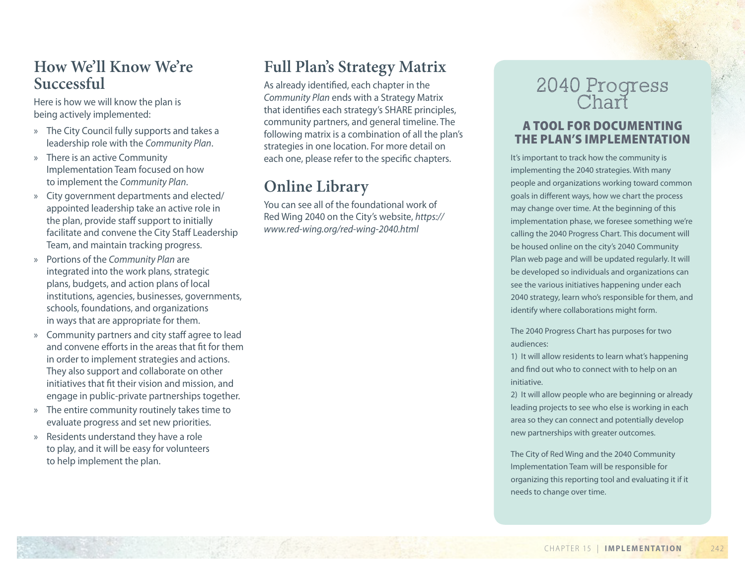### **How We'll Know We're Successful**

Here is how we will know the plan is being actively implemented:

- » The City Council fully supports and takes a leadership role with the *Community Plan*.
- » There is an active Community Implementation Team focused on how to implement the *Community Plan*.
- » City government departments and elected/ appointed leadership take an active role in the plan, provide staff support to initially facilitate and convene the City Staff Leadership Team, and maintain tracking progress.
- » Portions of the *Community Plan* are integrated into the work plans, strategic plans, budgets, and action plans of local institutions, agencies, businesses, governments, schools, foundations, and organizations in ways that are appropriate for them.
- » Community partners and city staff agree to lead and convene efforts in the areas that fit for them in order to implement strategies and actions. They also support and collaborate on other initiatives that fit their vision and mission, and engage in public-private partnerships together.
- » The entire community routinely takes time to evaluate progress and set new priorities.
- » Residents understand they have a role to play, and it will be easy for volunteers to help implement the plan.

# **Full Plan's Strategy Matrix**

As already identified, each chapter in the *Community Plan* ends with a Strategy Matrix that identifies each strategy's SHARE principles, community partners, and general timeline. The following matrix is a combination of all the plan's strategies in one location. For more detail on each one, please refer to the specific chapters.

# **Online Library**

You can see all of the foundational work of Red Wing 2040 on the City's website, *https:// www.red-wing.org/red-wing-2040.html*

# 2040 Progress Chart

### A tool for documenting the plan's implementation

It's important to track how the community is implementing the 2040 strategies. With many people and organizations working toward common goals in different ways, how we chart the process may change over time. At the beginning of this implementation phase, we foresee something we're calling the 2040 Progress Chart. This document will be housed online on the city's 2040 Community Plan web page and will be updated regularly. It will be developed so individuals and organizations can see the various initiatives happening under each 2040 strategy, learn who's responsible for them, and identify where collaborations might form.

The 2040 Progress Chart has purposes for two audiences:

1) It will allow residents to learn what's happening and find out who to connect with to help on an initiative.

2) It will allow people who are beginning or already leading projects to see who else is working in each area so they can connect and potentially develop new partnerships with greater outcomes.

The City of Red Wing and the 2040 Community Implementation Team will be responsible for organizing this reporting tool and evaluating it if it needs to change over time.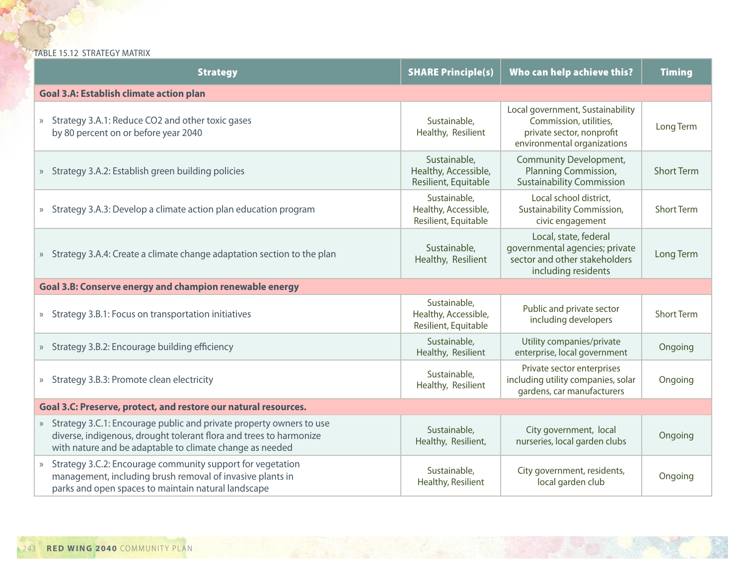TABLE 15.12 STRATEGY MATRIX

| <b>Strategy</b>                                                                                                                                                                                         | <b>SHARE Principle(s)</b>                                    | Who can help achieve this?                                                                                             | <b>Timing</b>     |
|---------------------------------------------------------------------------------------------------------------------------------------------------------------------------------------------------------|--------------------------------------------------------------|------------------------------------------------------------------------------------------------------------------------|-------------------|
| <b>Goal 3.A: Establish climate action plan</b>                                                                                                                                                          |                                                              |                                                                                                                        |                   |
| » Strategy 3.A.1: Reduce CO2 and other toxic gases<br>by 80 percent on or before year 2040                                                                                                              | Sustainable,<br>Healthy, Resilient                           | Local government, Sustainability<br>Commission, utilities,<br>private sector, nonprofit<br>environmental organizations | Long Term         |
| » Strategy 3.A.2: Establish green building policies                                                                                                                                                     | Sustainable,<br>Healthy, Accessible,<br>Resilient, Equitable | <b>Community Development,</b><br>Planning Commission,<br><b>Sustainability Commission</b>                              | <b>Short Term</b> |
| » Strategy 3.A.3: Develop a climate action plan education program                                                                                                                                       | Sustainable,<br>Healthy, Accessible,<br>Resilient, Equitable | Local school district,<br>Sustainability Commission,<br>civic engagement                                               | <b>Short Term</b> |
| » Strategy 3.A.4: Create a climate change adaptation section to the plan                                                                                                                                | Sustainable,<br>Healthy, Resilient                           | Local, state, federal<br>governmental agencies; private<br>sector and other stakeholders<br>including residents        | Long Term         |
| Goal 3.B: Conserve energy and champion renewable energy                                                                                                                                                 |                                                              |                                                                                                                        |                   |
| » Strategy 3.B.1: Focus on transportation initiatives                                                                                                                                                   | Sustainable,<br>Healthy, Accessible,<br>Resilient, Equitable | Public and private sector<br>including developers                                                                      | <b>Short Term</b> |
| » Strategy 3.B.2: Encourage building efficiency                                                                                                                                                         | Sustainable,<br>Healthy, Resilient                           | Utility companies/private<br>enterprise, local government                                                              | Ongoing           |
| » Strategy 3.B.3: Promote clean electricity                                                                                                                                                             | Sustainable,<br>Healthy, Resilient                           | Private sector enterprises<br>including utility companies, solar<br>gardens, car manufacturers                         | Ongoing           |
| Goal 3.C: Preserve, protect, and restore our natural resources.                                                                                                                                         |                                                              |                                                                                                                        |                   |
| » Strategy 3.C.1: Encourage public and private property owners to use<br>diverse, indigenous, drought tolerant flora and trees to harmonize<br>with nature and be adaptable to climate change as needed | Sustainable,<br>Healthy, Resilient,                          | City government, local<br>nurseries, local garden clubs                                                                | Ongoing           |
| Strategy 3.C.2: Encourage community support for vegetation<br>$\rangle$<br>management, including brush removal of invasive plants in<br>parks and open spaces to maintain natural landscape             | Sustainable,<br>Healthy, Resilient                           | City government, residents,<br>local garden club                                                                       | Ongoing           |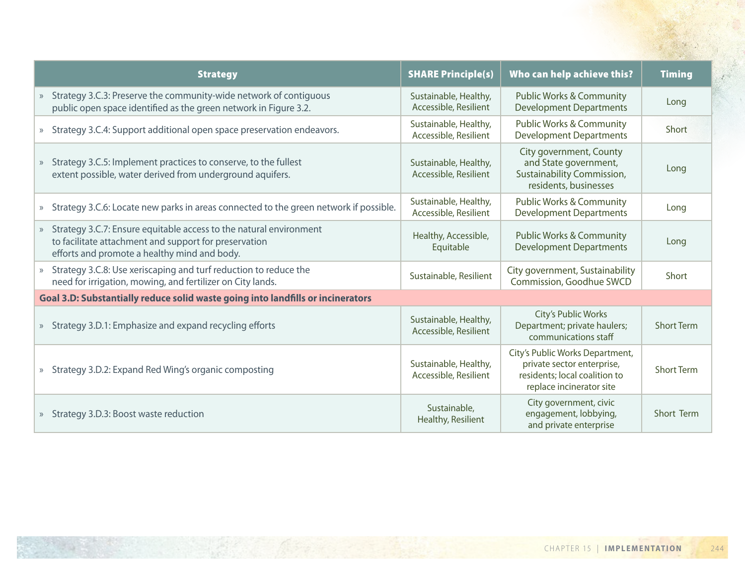| <b>Strategy</b>                                                                                                                                                               | <b>SHARE Principle(s)</b>                      | Who can help achieve this?                                                                                                 | <b>Timing</b>     |
|-------------------------------------------------------------------------------------------------------------------------------------------------------------------------------|------------------------------------------------|----------------------------------------------------------------------------------------------------------------------------|-------------------|
| » Strategy 3.C.3: Preserve the community-wide network of contiguous<br>public open space identified as the green network in Figure 3.2.                                       | Sustainable, Healthy,<br>Accessible, Resilient | <b>Public Works &amp; Community</b><br><b>Development Departments</b>                                                      | Long              |
| » Strategy 3.C.4: Support additional open space preservation endeavors.                                                                                                       | Sustainable, Healthy,<br>Accessible, Resilient | <b>Public Works &amp; Community</b><br><b>Development Departments</b>                                                      | Short             |
| » Strategy 3.C.5: Implement practices to conserve, to the fullest<br>extent possible, water derived from underground aquifers.                                                | Sustainable, Healthy,<br>Accessible, Resilient | City government, County<br>and State government,<br>Sustainability Commission,<br>residents, businesses                    | Long              |
| » Strategy 3.C.6: Locate new parks in areas connected to the green network if possible.                                                                                       | Sustainable, Healthy,<br>Accessible, Resilient | <b>Public Works &amp; Community</b><br><b>Development Departments</b>                                                      | Long              |
| » Strategy 3.C.7: Ensure equitable access to the natural environment<br>to facilitate attachment and support for preservation<br>efforts and promote a healthy mind and body. | Healthy, Accessible,<br>Equitable              | <b>Public Works &amp; Community</b><br><b>Development Departments</b>                                                      | Long              |
| » Strategy 3.C.8: Use xeriscaping and turf reduction to reduce the<br>need for irrigation, mowing, and fertilizer on City lands.                                              | Sustainable, Resilient                         | City government, Sustainability<br>Commission, Goodhue SWCD                                                                | Short             |
| Goal 3.D: Substantially reduce solid waste going into landfills or incinerators                                                                                               |                                                |                                                                                                                            |                   |
| » Strategy 3.D.1: Emphasize and expand recycling efforts                                                                                                                      | Sustainable, Healthy,<br>Accessible, Resilient | City's Public Works<br>Department; private haulers;<br>communications staff                                                | <b>Short Term</b> |
| » Strategy 3.D.2: Expand Red Wing's organic composting                                                                                                                        | Sustainable, Healthy,<br>Accessible, Resilient | City's Public Works Department,<br>private sector enterprise,<br>residents; local coalition to<br>replace incinerator site | <b>Short Term</b> |
| » Strategy 3.D.3: Boost waste reduction                                                                                                                                       | Sustainable,<br>Healthy, Resilient             | City government, civic<br>engagement, lobbying,<br>and private enterprise                                                  | Short Term        |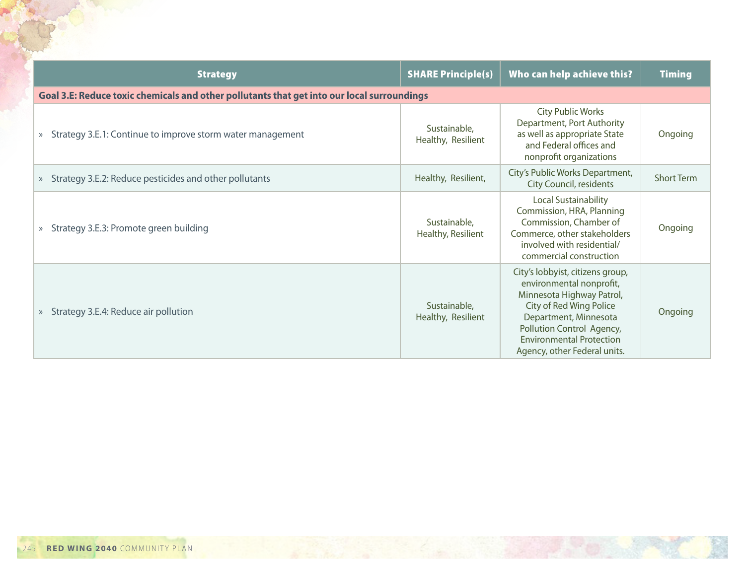| <b>Strategy</b>                                                                            | <b>SHARE Principle(s)</b>          | Who can help achieve this?                                                                                                                                                                                                                    | <b>Timing</b>     |
|--------------------------------------------------------------------------------------------|------------------------------------|-----------------------------------------------------------------------------------------------------------------------------------------------------------------------------------------------------------------------------------------------|-------------------|
| Goal 3.E: Reduce toxic chemicals and other pollutants that get into our local surroundings |                                    |                                                                                                                                                                                                                                               |                   |
| Strategy 3.E.1: Continue to improve storm water management<br>$\rangle$                    | Sustainable,<br>Healthy, Resilient | <b>City Public Works</b><br>Department, Port Authority<br>as well as appropriate State<br>and Federal offices and<br>nonprofit organizations                                                                                                  | Ongoing           |
| » Strategy 3.E.2: Reduce pesticides and other pollutants                                   | Healthy, Resilient,                | City's Public Works Department,<br>City Council, residents                                                                                                                                                                                    | <b>Short Term</b> |
| Strategy 3.E.3: Promote green building<br>$\rangle$                                        | Sustainable,<br>Healthy, Resilient | <b>Local Sustainability</b><br>Commission, HRA, Planning<br>Commission, Chamber of<br>Commerce, other stakeholders<br>involved with residential/<br>commercial construction                                                                   | Ongoing           |
| Strategy 3.E.4: Reduce air pollution<br>$\rangle$                                          | Sustainable,<br>Healthy, Resilient | City's lobbyist, citizens group,<br>environmental nonprofit,<br>Minnesota Highway Patrol,<br>City of Red Wing Police<br>Department, Minnesota<br>Pollution Control Agency,<br><b>Environmental Protection</b><br>Agency, other Federal units. | Ongoing           |

Aged to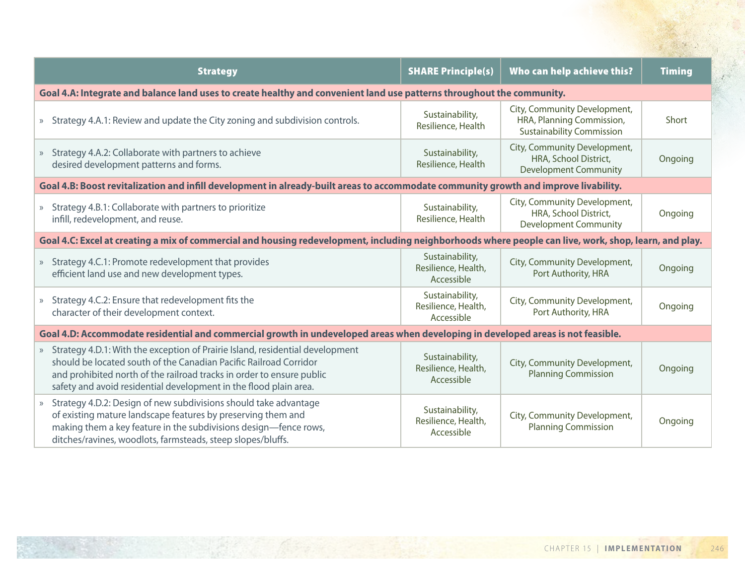| <b>Strategy</b>                                                                                                                                                                                                                                                                                    | <b>SHARE Principle(s)</b>                            | Who can help achieve this?                                                                    | <b>Timing</b> |
|----------------------------------------------------------------------------------------------------------------------------------------------------------------------------------------------------------------------------------------------------------------------------------------------------|------------------------------------------------------|-----------------------------------------------------------------------------------------------|---------------|
| Goal 4.A: Integrate and balance land uses to create healthy and convenient land use patterns throughout the community.                                                                                                                                                                             |                                                      |                                                                                               |               |
| » Strategy 4.A.1: Review and update the City zoning and subdivision controls.                                                                                                                                                                                                                      | Sustainability,<br>Resilience, Health                | City, Community Development,<br>HRA, Planning Commission,<br><b>Sustainability Commission</b> | Short         |
| Strategy 4.A.2: Collaborate with partners to achieve<br>$\rangle$<br>desired development patterns and forms.                                                                                                                                                                                       | Sustainability,<br>Resilience, Health                | City, Community Development,<br>HRA, School District,<br><b>Development Community</b>         | Ongoing       |
| Goal 4.B: Boost revitalization and infill development in already-built areas to accommodate community growth and improve livability.                                                                                                                                                               |                                                      |                                                                                               |               |
| » Strategy 4.B.1: Collaborate with partners to prioritize<br>infill, redevelopment, and reuse.                                                                                                                                                                                                     | Sustainability,<br>Resilience, Health                | City, Community Development,<br>HRA, School District,<br><b>Development Community</b>         | Ongoing       |
| Goal 4.C: Excel at creating a mix of commercial and housing redevelopment, including neighborhoods where people can live, work, shop, learn, and play.                                                                                                                                             |                                                      |                                                                                               |               |
| » Strategy 4.C.1: Promote redevelopment that provides<br>efficient land use and new development types.                                                                                                                                                                                             | Sustainability,<br>Resilience, Health,<br>Accessible | City, Community Development,<br>Port Authority, HRA                                           | Ongoing       |
| » Strategy 4.C.2: Ensure that redevelopment fits the<br>character of their development context.                                                                                                                                                                                                    | Sustainability,<br>Resilience, Health,<br>Accessible | City, Community Development,<br>Port Authority, HRA                                           | Ongoing       |
| Goal 4.D: Accommodate residential and commercial growth in undeveloped areas when developing in developed areas is not feasible.                                                                                                                                                                   |                                                      |                                                                                               |               |
| » Strategy 4.D.1: With the exception of Prairie Island, residential development<br>should be located south of the Canadian Pacific Railroad Corridor<br>and prohibited north of the railroad tracks in order to ensure public<br>safety and avoid residential development in the flood plain area. | Sustainability,<br>Resilience, Health,<br>Accessible | City, Community Development,<br><b>Planning Commission</b>                                    | Ongoing       |
| » Strategy 4.D.2: Design of new subdivisions should take advantage<br>of existing mature landscape features by preserving them and<br>making them a key feature in the subdivisions design-fence rows,<br>ditches/ravines, woodlots, farmsteads, steep slopes/bluffs.                              | Sustainability,<br>Resilience, Health,<br>Accessible | City, Community Development,<br><b>Planning Commission</b>                                    | Ongoing       |

**第五天**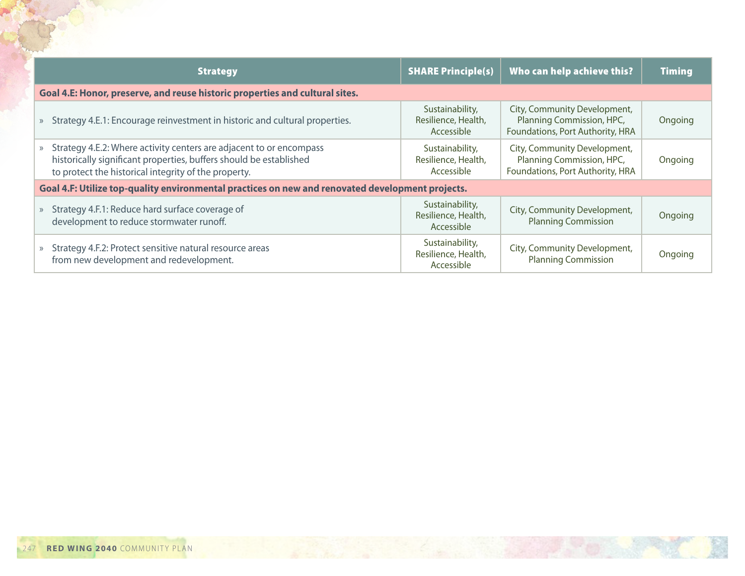| <b>Strategy</b>                                                                                                                                                                                     | <b>SHARE Principle(s)</b>                            | Who can help achieve this?                                                                    | <b>Timing</b> |
|-----------------------------------------------------------------------------------------------------------------------------------------------------------------------------------------------------|------------------------------------------------------|-----------------------------------------------------------------------------------------------|---------------|
| Goal 4.E: Honor, preserve, and reuse historic properties and cultural sites.                                                                                                                        |                                                      |                                                                                               |               |
| » Strategy 4.E.1: Encourage reinvestment in historic and cultural properties.                                                                                                                       | Sustainability,<br>Resilience, Health,<br>Accessible | City, Community Development,<br>Planning Commission, HPC,<br>Foundations, Port Authority, HRA | Ongoing       |
| » Strategy 4.E.2: Where activity centers are adjacent to or encompass<br>historically significant properties, buffers should be established<br>to protect the historical integrity of the property. | Sustainability,<br>Resilience, Health,<br>Accessible | City, Community Development,<br>Planning Commission, HPC,<br>Foundations, Port Authority, HRA | Ongoing       |
| Goal 4.F: Utilize top-quality environmental practices on new and renovated development projects.                                                                                                    |                                                      |                                                                                               |               |
| » Strategy 4.F.1: Reduce hard surface coverage of<br>development to reduce stormwater runoff.                                                                                                       | Sustainability,<br>Resilience, Health,<br>Accessible | City, Community Development,<br><b>Planning Commission</b>                                    | Ongoing       |
| Strategy 4.F.2: Protect sensitive natural resource areas<br>$\gg$<br>from new development and redevelopment.                                                                                        | Sustainability,<br>Resilience, Health,<br>Accessible | City, Community Development,<br><b>Planning Commission</b>                                    | Ongoing       |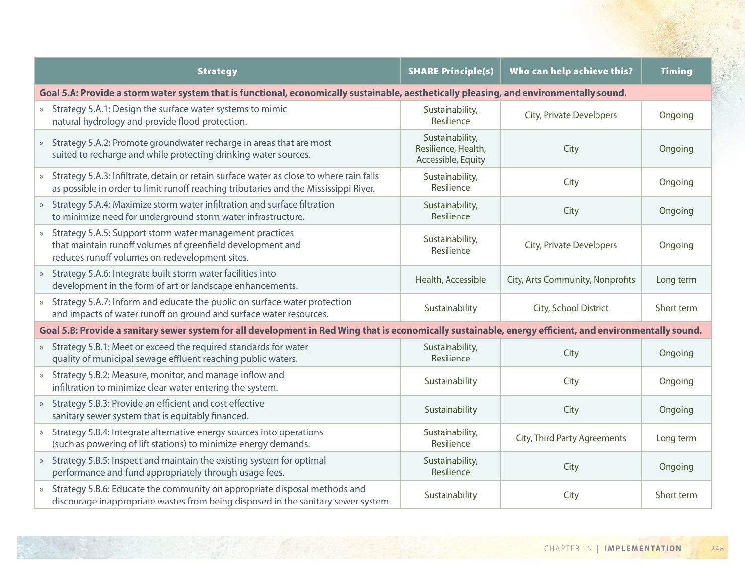| <b>Strategy</b>                                                                                                                                                                   | <b>SHARE Principle(s)</b>                                    | Who can help achieve this?       | <b>Timing</b> |
|-----------------------------------------------------------------------------------------------------------------------------------------------------------------------------------|--------------------------------------------------------------|----------------------------------|---------------|
| Goal 5.A: Provide a storm water system that is functional, economically sustainable, aesthetically pleasing, and environmentally sound.                                           |                                                              |                                  |               |
| » Strategy 5.A.1: Design the surface water systems to mimic<br>natural hydrology and provide flood protection.                                                                    | Sustainability,<br>Resilience                                | City, Private Developers         | Ongoing       |
| » Strategy 5.A.2: Promote groundwater recharge in areas that are most<br>suited to recharge and while protecting drinking water sources.                                          | Sustainability,<br>Resilience, Health,<br>Accessible, Equity | City                             | Ongoing       |
| » Strategy 5.A.3: Infiltrate, detain or retain surface water as close to where rain falls<br>as possible in order to limit runoff reaching tributaries and the Mississippi River. | Sustainability,<br>Resilience                                | City                             | Ongoing       |
| » Strategy 5.A.4: Maximize storm water infiltration and surface filtration<br>to minimize need for underground storm water infrastructure.                                        | Sustainability,<br>Resilience                                | City                             | Ongoing       |
| » Strategy 5.A.5: Support storm water management practices<br>that maintain runoff volumes of greenfield development and<br>reduces runoff volumes on redevelopment sites.        | Sustainability,<br>Resilience                                | City, Private Developers         | Ongoing       |
| » Strategy 5.A.6: Integrate built storm water facilities into<br>development in the form of art or landscape enhancements.                                                        | Health, Accessible                                           | City, Arts Community, Nonprofits | Long term     |
| » Strategy 5.A.7: Inform and educate the public on surface water protection<br>and impacts of water runoff on ground and surface water resources.                                 | Sustainability                                               | City, School District            | Short term    |
| Goal 5.B: Provide a sanitary sewer system for all development in Red Wing that is economically sustainable, energy efficient, and environmentally sound.                          |                                                              |                                  |               |
| » Strategy 5.B.1: Meet or exceed the required standards for water<br>quality of municipal sewage effluent reaching public waters.                                                 | Sustainability,<br>Resilience                                | City                             | Ongoing       |
| » Strategy 5.B.2: Measure, monitor, and manage inflow and<br>infiltration to minimize clear water entering the system.                                                            | Sustainability                                               | City                             | Ongoing       |
| » Strategy 5.B.3: Provide an efficient and cost effective<br>sanitary sewer system that is equitably financed.                                                                    | Sustainability                                               | City                             | Ongoing       |
| » Strategy 5.B.4: Integrate alternative energy sources into operations<br>(such as powering of lift stations) to minimize energy demands.                                         | Sustainability,<br>Resilience                                | City, Third Party Agreements     | Long term     |
| » Strategy 5.B.5: Inspect and maintain the existing system for optimal<br>performance and fund appropriately through usage fees.                                                  | Sustainability,<br>Resilience                                | City                             | Ongoing       |
| » Strategy 5.B.6: Educate the community on appropriate disposal methods and<br>discourage inappropriate wastes from being disposed in the sanitary sewer system.                  | Sustainability                                               | City                             | Short term    |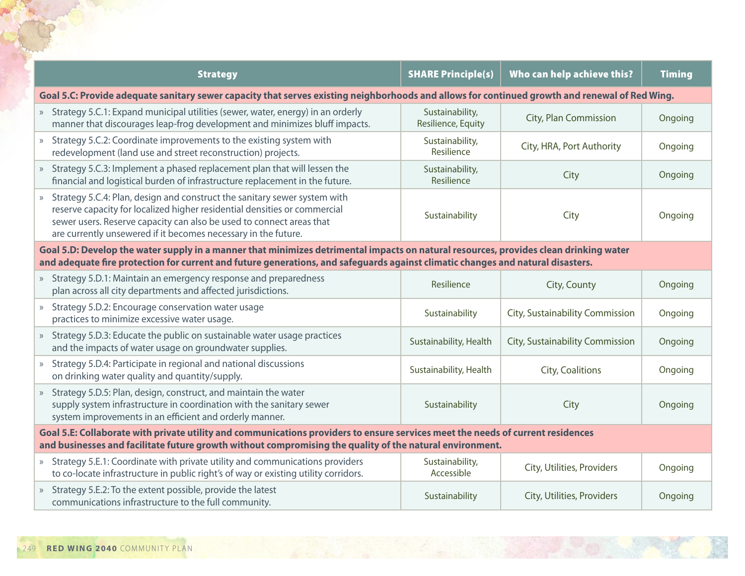| <b>Strategy</b>                                                                                                                                                                                                                                                                                    | <b>SHARE Principle(s)</b>                                                                                                                                                                                                                   | Who can help achieve this?      | <b>Timing</b> |  |  |
|----------------------------------------------------------------------------------------------------------------------------------------------------------------------------------------------------------------------------------------------------------------------------------------------------|---------------------------------------------------------------------------------------------------------------------------------------------------------------------------------------------------------------------------------------------|---------------------------------|---------------|--|--|
|                                                                                                                                                                                                                                                                                                    |                                                                                                                                                                                                                                             |                                 |               |  |  |
| Goal 5.C: Provide adequate sanitary sewer capacity that serves existing neighborhoods and allows for continued growth and renewal of Red Wing.                                                                                                                                                     |                                                                                                                                                                                                                                             |                                 |               |  |  |
| » Strategy 5.C.1: Expand municipal utilities (sewer, water, energy) in an orderly<br>manner that discourages leap-frog development and minimizes bluff impacts.                                                                                                                                    | Sustainability,<br>Resilience, Equity                                                                                                                                                                                                       | City, Plan Commission           | Ongoing       |  |  |
| » Strategy 5.C.2: Coordinate improvements to the existing system with<br>redevelopment (land use and street reconstruction) projects.                                                                                                                                                              | Sustainability,<br>Resilience                                                                                                                                                                                                               | City, HRA, Port Authority       | Ongoing       |  |  |
| » Strategy 5.C.3: Implement a phased replacement plan that will lessen the<br>financial and logistical burden of infrastructure replacement in the future.                                                                                                                                         | Sustainability,<br>Resilience                                                                                                                                                                                                               | City                            | Ongoing       |  |  |
| » Strategy 5.C.4: Plan, design and construct the sanitary sewer system with<br>reserve capacity for localized higher residential densities or commercial<br>sewer users. Reserve capacity can also be used to connect areas that<br>are currently unsewered if it becomes necessary in the future. | Sustainability                                                                                                                                                                                                                              | City                            | Ongoing       |  |  |
| Goal 5.D: Develop the water supply in a manner that minimizes detrimental impacts on natural resources, provides clean drinking water<br>and adequate fire protection for current and future generations, and safeguards against climatic changes and natural disasters.                           |                                                                                                                                                                                                                                             |                                 |               |  |  |
| » Strategy 5.D.1: Maintain an emergency response and preparedness<br>plan across all city departments and affected jurisdictions.                                                                                                                                                                  | Resilience                                                                                                                                                                                                                                  | City, County                    | Ongoing       |  |  |
| » Strategy 5.D.2: Encourage conservation water usage<br>practices to minimize excessive water usage.                                                                                                                                                                                               | Sustainability                                                                                                                                                                                                                              | City, Sustainability Commission | Ongoing       |  |  |
| » Strategy 5.D.3: Educate the public on sustainable water usage practices<br>and the impacts of water usage on groundwater supplies.                                                                                                                                                               | Sustainability, Health                                                                                                                                                                                                                      | City, Sustainability Commission | Ongoing       |  |  |
| » Strategy 5.D.4: Participate in regional and national discussions<br>on drinking water quality and quantity/supply.                                                                                                                                                                               | Sustainability, Health                                                                                                                                                                                                                      | City, Coalitions                | Ongoing       |  |  |
| Strategy 5.D.5: Plan, design, construct, and maintain the water<br>$\rangle\!\rangle$<br>supply system infrastructure in coordination with the sanitary sewer<br>system improvements in an efficient and orderly manner.                                                                           | Sustainability                                                                                                                                                                                                                              | City                            | Ongoing       |  |  |
|                                                                                                                                                                                                                                                                                                    | Goal 5.E: Collaborate with private utility and communications providers to ensure services meet the needs of current residences<br>and businesses and facilitate future growth without compromising the quality of the natural environment. |                                 |               |  |  |
| » Strategy 5.E.1: Coordinate with private utility and communications providers<br>to co-locate infrastructure in public right's of way or existing utility corridors.                                                                                                                              | Sustainability,<br>Accessible                                                                                                                                                                                                               | City, Utilities, Providers      | Ongoing       |  |  |
| » Strategy 5.E.2: To the extent possible, provide the latest<br>communications infrastructure to the full community.                                                                                                                                                                               | Sustainability                                                                                                                                                                                                                              | City, Utilities, Providers      | Ongoing       |  |  |

POST OF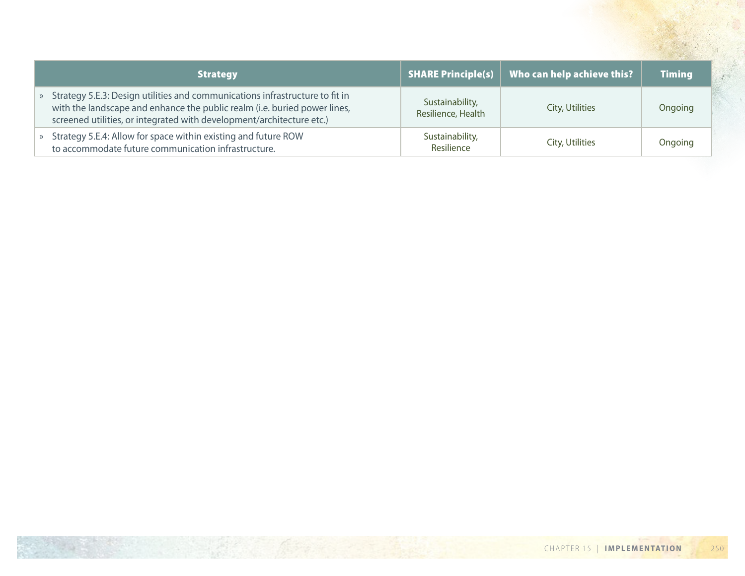| <b>Strategy</b>                                                                                                                                                                                                                      | <b>SHARE Principle(s)</b>             | Who can help achieve this? | <b>Timing</b> |
|--------------------------------------------------------------------------------------------------------------------------------------------------------------------------------------------------------------------------------------|---------------------------------------|----------------------------|---------------|
| » Strategy 5.E.3: Design utilities and communications infrastructure to fit in<br>with the landscape and enhance the public realm (i.e. buried power lines,<br>screened utilities, or integrated with development/architecture etc.) | Sustainability,<br>Resilience, Health | City, Utilities            | Ongoing       |
| » Strategy 5.E.4: Allow for space within existing and future ROW<br>to accommodate future communication infrastructure.                                                                                                              | Sustainability,<br>Resilience         | City, Utilities            | Ongoing       |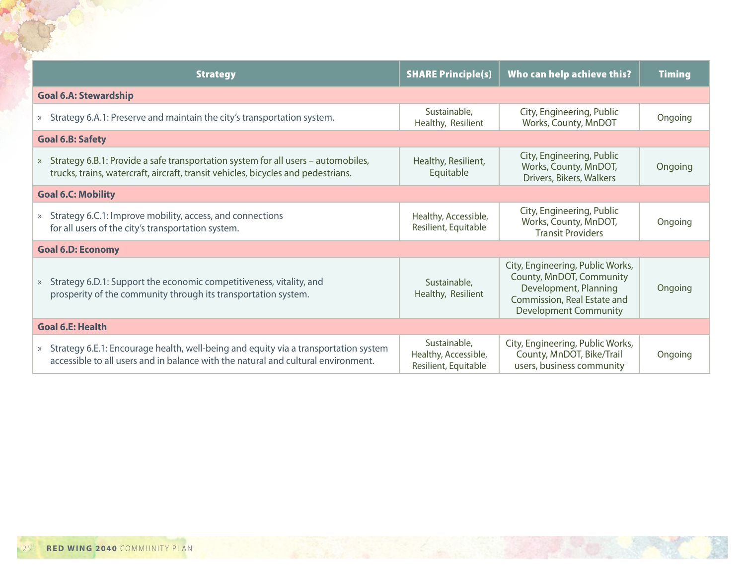| <b>Strategy</b>                                                                                                                                                            | <b>SHARE Principle(s)</b>                                    | Who can help achieve this?                                                                                                                           | <b>Timing</b> |
|----------------------------------------------------------------------------------------------------------------------------------------------------------------------------|--------------------------------------------------------------|------------------------------------------------------------------------------------------------------------------------------------------------------|---------------|
| <b>Goal 6.A: Stewardship</b>                                                                                                                                               |                                                              |                                                                                                                                                      |               |
| » Strategy 6.A.1: Preserve and maintain the city's transportation system.                                                                                                  | Sustainable,<br>Healthy, Resilient                           | City, Engineering, Public<br>Works, County, MnDOT                                                                                                    | Ongoing       |
| <b>Goal 6.B: Safety</b>                                                                                                                                                    |                                                              |                                                                                                                                                      |               |
| » Strategy 6.B.1: Provide a safe transportation system for all users - automobiles,<br>trucks, trains, watercraft, aircraft, transit vehicles, bicycles and pedestrians.   | Healthy, Resilient,<br>Equitable                             | City, Engineering, Public<br>Works, County, MnDOT,<br>Drivers, Bikers, Walkers                                                                       | Ongoing       |
| <b>Goal 6.C: Mobility</b>                                                                                                                                                  |                                                              |                                                                                                                                                      |               |
| » Strategy 6.C.1: Improve mobility, access, and connections<br>for all users of the city's transportation system.                                                          | Healthy, Accessible,<br>Resilient, Equitable                 | City, Engineering, Public<br>Works, County, MnDOT,<br><b>Transit Providers</b>                                                                       | Ongoing       |
| <b>Goal 6.D: Economy</b>                                                                                                                                                   |                                                              |                                                                                                                                                      |               |
| » Strategy 6.D.1: Support the economic competitiveness, vitality, and<br>prosperity of the community through its transportation system.                                    | Sustainable,<br>Healthy, Resilient                           | City, Engineering, Public Works,<br>County, MnDOT, Community<br>Development, Planning<br>Commission, Real Estate and<br><b>Development Community</b> | Ongoing       |
| <b>Goal 6.E: Health</b>                                                                                                                                                    |                                                              |                                                                                                                                                      |               |
| » Strategy 6.E.1: Encourage health, well-being and equity via a transportation system<br>accessible to all users and in balance with the natural and cultural environment. | Sustainable,<br>Healthy, Accessible,<br>Resilient, Equitable | City, Engineering, Public Works,<br>County, MnDOT, Bike/Trail<br>users, business community                                                           | Ongoing       |

REACTION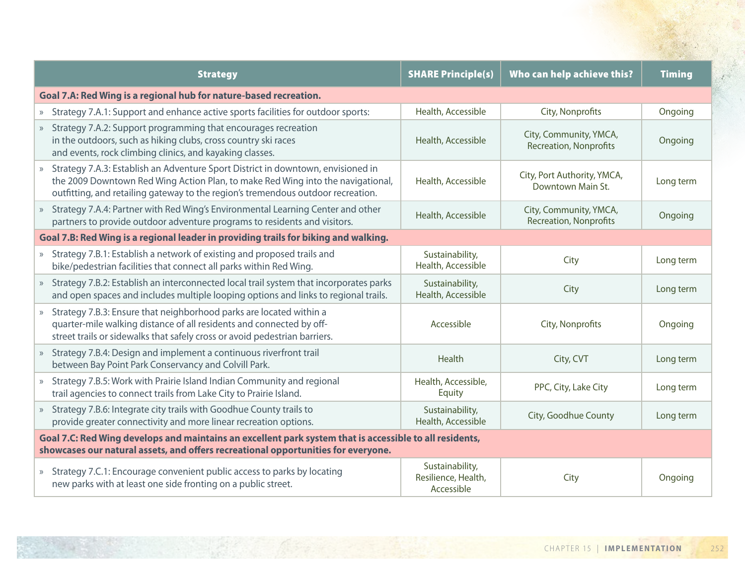| <b>Strategy</b>                                                                                                                                                                                                                                         | <b>SHARE Principle(s)</b>                            | Who can help achieve this?                              | <b>Timing</b> |
|---------------------------------------------------------------------------------------------------------------------------------------------------------------------------------------------------------------------------------------------------------|------------------------------------------------------|---------------------------------------------------------|---------------|
| Goal 7.A: Red Wing is a regional hub for nature-based recreation.                                                                                                                                                                                       |                                                      |                                                         |               |
| » Strategy 7.A.1: Support and enhance active sports facilities for outdoor sports:                                                                                                                                                                      | Health, Accessible                                   | City, Nonprofits                                        | Ongoing       |
| » Strategy 7.A.2: Support programming that encourages recreation<br>in the outdoors, such as hiking clubs, cross country ski races<br>and events, rock climbing clinics, and kayaking classes.                                                          | Health, Accessible                                   | City, Community, YMCA,<br><b>Recreation, Nonprofits</b> | Ongoing       |
| Strategy 7.A.3: Establish an Adventure Sport District in downtown, envisioned in<br>the 2009 Downtown Red Wing Action Plan, to make Red Wing into the navigational,<br>outfitting, and retailing gateway to the region's tremendous outdoor recreation. | Health, Accessible                                   | City, Port Authority, YMCA,<br>Downtown Main St.        | Long term     |
| » Strategy 7.A.4: Partner with Red Wing's Environmental Learning Center and other<br>partners to provide outdoor adventure programs to residents and visitors.                                                                                          | Health, Accessible                                   | City, Community, YMCA,<br><b>Recreation, Nonprofits</b> | Ongoing       |
| Goal 7.B: Red Wing is a regional leader in providing trails for biking and walking.                                                                                                                                                                     |                                                      |                                                         |               |
| » Strategy 7.B.1: Establish a network of existing and proposed trails and<br>bike/pedestrian facilities that connect all parks within Red Wing.                                                                                                         | Sustainability,<br>Health, Accessible                | City                                                    | Long term     |
| » Strategy 7.B.2: Establish an interconnected local trail system that incorporates parks<br>and open spaces and includes multiple looping options and links to regional trails.                                                                         | Sustainability,<br>Health, Accessible                | City                                                    | Long term     |
| Strategy 7.B.3: Ensure that neighborhood parks are located within a<br>$\rangle$<br>quarter-mile walking distance of all residents and connected by off-<br>street trails or sidewalks that safely cross or avoid pedestrian barriers.                  | Accessible                                           | City, Nonprofits                                        | Ongoing       |
| » Strategy 7.B.4: Design and implement a continuous riverfront trail<br>between Bay Point Park Conservancy and Colvill Park.                                                                                                                            | Health                                               | City, CVT                                               | Long term     |
| » Strategy 7.B.5: Work with Prairie Island Indian Community and regional<br>trail agencies to connect trails from Lake City to Prairie Island.                                                                                                          | Health, Accessible,<br>Equity                        | PPC, City, Lake City                                    | Long term     |
| » Strategy 7.B.6: Integrate city trails with Goodhue County trails to<br>provide greater connectivity and more linear recreation options.                                                                                                               | Sustainability,<br>Health, Accessible                | City, Goodhue County                                    | Long term     |
| Goal 7.C: Red Wing develops and maintains an excellent park system that is accessible to all residents,<br>showcases our natural assets, and offers recreational opportunities for everyone.                                                            |                                                      |                                                         |               |
| » Strategy 7.C.1: Encourage convenient public access to parks by locating<br>new parks with at least one side fronting on a public street.                                                                                                              | Sustainability,<br>Resilience, Health,<br>Accessible | City                                                    | Ongoing       |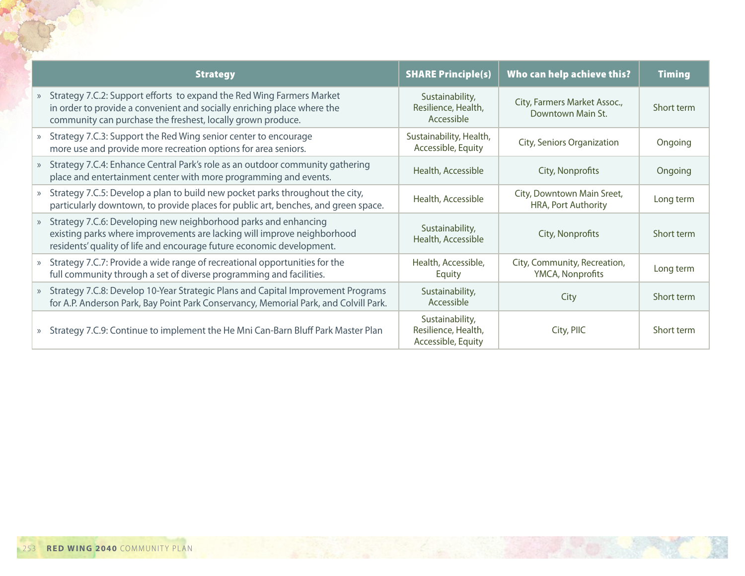| <b>Strategy</b>                                                                                                                                                                                                     | <b>SHARE Principle(s)</b>                                    | Who can help achieve this?                               | <b>Timing</b> |
|---------------------------------------------------------------------------------------------------------------------------------------------------------------------------------------------------------------------|--------------------------------------------------------------|----------------------------------------------------------|---------------|
| Strategy 7.C.2: Support efforts to expand the Red Wing Farmers Market<br>in order to provide a convenient and socially enriching place where the<br>community can purchase the freshest, locally grown produce.     | Sustainability,<br>Resilience, Health,<br>Accessible         | City, Farmers Market Assoc.,<br>Downtown Main St.        | Short term    |
| Strategy 7.C.3: Support the Red Wing senior center to encourage<br>more use and provide more recreation options for area seniors.                                                                                   | Sustainability, Health,<br>Accessible, Equity                | City, Seniors Organization                               | Ongoing       |
| Strategy 7.C.4: Enhance Central Park's role as an outdoor community gathering<br>place and entertainment center with more programming and events.                                                                   | Health, Accessible                                           | City, Nonprofits                                         | Ongoing       |
| Strategy 7.C.5: Develop a plan to build new pocket parks throughout the city,<br>particularly downtown, to provide places for public art, benches, and green space.                                                 | Health, Accessible                                           | City, Downtown Main Sreet,<br><b>HRA, Port Authority</b> | Long term     |
| Strategy 7.C.6: Developing new neighborhood parks and enhancing<br>existing parks where improvements are lacking will improve neighborhood<br>residents' quality of life and encourage future economic development. | Sustainability,<br>Health, Accessible                        | City, Nonprofits                                         | Short term    |
| Strategy 7.C.7: Provide a wide range of recreational opportunities for the<br>full community through a set of diverse programming and facilities.                                                                   | Health, Accessible,<br>Equity                                | City, Community, Recreation,<br>YMCA, Nonprofits         | Long term     |
| Strategy 7.C.8: Develop 10-Year Strategic Plans and Capital Improvement Programs<br>for A.P. Anderson Park, Bay Point Park Conservancy, Memorial Park, and Colvill Park.                                            | Sustainability,<br>Accessible                                | City                                                     | Short term    |
| Strategy 7.C.9: Continue to implement the He Mni Can-Barn Bluff Park Master Plan                                                                                                                                    | Sustainability,<br>Resilience, Health,<br>Accessible, Equity | City, PIIC                                               | Short term    |

Reproduction of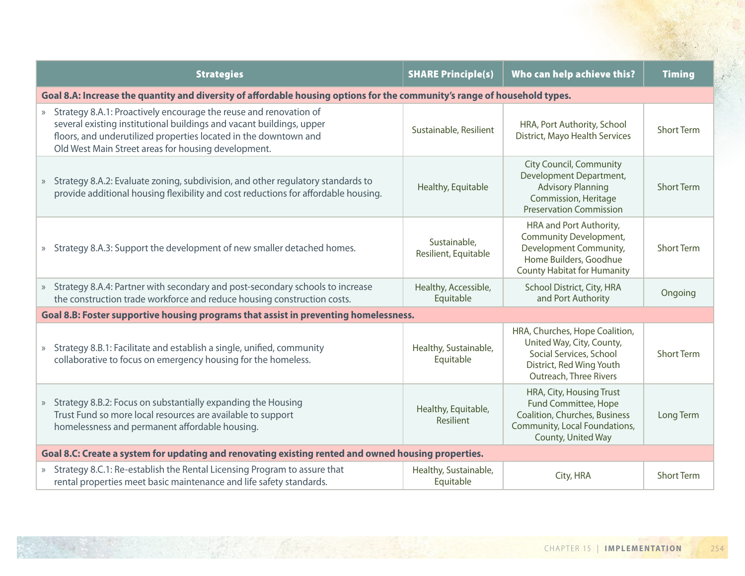| <b>Strategies</b>                                                                                                                                                                                                                                                      | <b>SHARE Principle(s)</b>            | Who can help achieve this?                                                                                                                          | <b>Timing</b>     |  |
|------------------------------------------------------------------------------------------------------------------------------------------------------------------------------------------------------------------------------------------------------------------------|--------------------------------------|-----------------------------------------------------------------------------------------------------------------------------------------------------|-------------------|--|
| Goal 8.A: Increase the quantity and diversity of affordable housing options for the community's range of household types.                                                                                                                                              |                                      |                                                                                                                                                     |                   |  |
| » Strategy 8.A.1: Proactively encourage the reuse and renovation of<br>several existing institutional buildings and vacant buildings, upper<br>floors, and underutilized properties located in the downtown and<br>Old West Main Street areas for housing development. | Sustainable, Resilient               | HRA, Port Authority, School<br>District, Mayo Health Services                                                                                       | <b>Short Term</b> |  |
| » Strategy 8.A.2: Evaluate zoning, subdivision, and other regulatory standards to<br>provide additional housing flexibility and cost reductions for affordable housing.                                                                                                | Healthy, Equitable                   | <b>City Council, Community</b><br>Development Department,<br><b>Advisory Planning</b><br>Commission, Heritage<br><b>Preservation Commission</b>     | <b>Short Term</b> |  |
| » Strategy 8.A.3: Support the development of new smaller detached homes.                                                                                                                                                                                               | Sustainable,<br>Resilient, Equitable | HRA and Port Authority,<br>Community Development,<br>Development Community,<br>Home Builders, Goodhue<br><b>County Habitat for Humanity</b>         | <b>Short Term</b> |  |
| » Strategy 8.A.4: Partner with secondary and post-secondary schools to increase<br>the construction trade workforce and reduce housing construction costs.                                                                                                             | Healthy, Accessible,<br>Equitable    | School District, City, HRA<br>and Port Authority                                                                                                    | Ongoing           |  |
| Goal 8.B: Foster supportive housing programs that assist in preventing homelessness.                                                                                                                                                                                   |                                      |                                                                                                                                                     |                   |  |
| Strategy 8.B.1: Facilitate and establish a single, unified, community<br>$\rangle$<br>collaborative to focus on emergency housing for the homeless.                                                                                                                    | Healthy, Sustainable,<br>Equitable   | HRA, Churches, Hope Coalition,<br>United Way, City, County,<br>Social Services, School<br>District, Red Wing Youth<br><b>Outreach, Three Rivers</b> | <b>Short Term</b> |  |
| Strategy 8.B.2: Focus on substantially expanding the Housing<br>$\gg$<br>Trust Fund so more local resources are available to support<br>homelessness and permanent affordable housing.                                                                                 | Healthy, Equitable,<br>Resilient     | HRA, City, Housing Trust<br>Fund Committee, Hope<br>Coalition, Churches, Business<br>Community, Local Foundations,<br>County, United Way            | Long Term         |  |
| Goal 8.C: Create a system for updating and renovating existing rented and owned housing properties.                                                                                                                                                                    |                                      |                                                                                                                                                     |                   |  |
| » Strategy 8.C.1: Re-establish the Rental Licensing Program to assure that<br>rental properties meet basic maintenance and life safety standards.                                                                                                                      | Healthy, Sustainable,<br>Equitable   | City, HRA                                                                                                                                           | <b>Short Term</b> |  |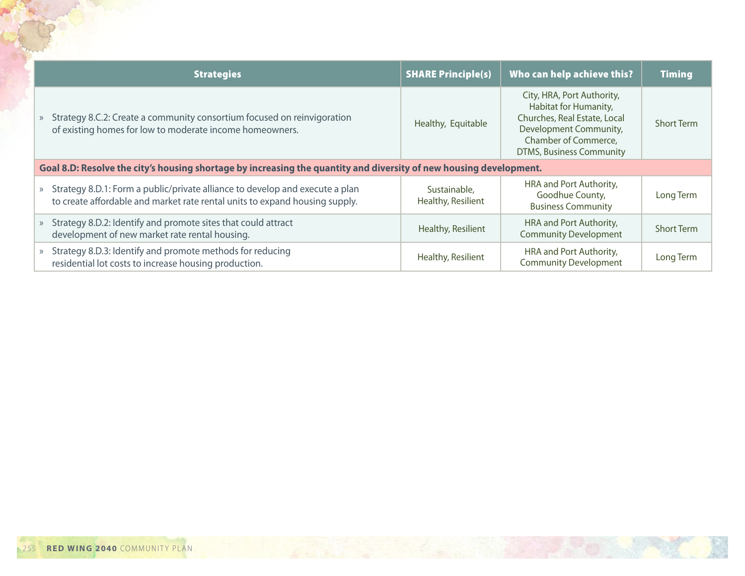| <b>Strategies</b>                                                                                                                                                        | <b>SHARE Principle(s)</b>          | Who can help achieve this?                                                                                                                                               | <b>Timing</b>     |  |
|--------------------------------------------------------------------------------------------------------------------------------------------------------------------------|------------------------------------|--------------------------------------------------------------------------------------------------------------------------------------------------------------------------|-------------------|--|
| Strategy 8.C.2: Create a community consortium focused on reinvigoration<br>$\rangle$<br>of existing homes for low to moderate income homeowners.                         | Healthy, Equitable                 | City, HRA, Port Authority,<br>Habitat for Humanity,<br>Churches, Real Estate, Local<br>Development Community,<br>Chamber of Commerce,<br><b>DTMS, Business Community</b> | <b>Short Term</b> |  |
| Goal 8.D: Resolve the city's housing shortage by increasing the quantity and diversity of new housing development.                                                       |                                    |                                                                                                                                                                          |                   |  |
| Strategy 8.D.1: Form a public/private alliance to develop and execute a plan<br>$\rangle$<br>to create affordable and market rate rental units to expand housing supply. | Sustainable.<br>Healthy, Resilient | HRA and Port Authority,<br>Goodhue County,<br><b>Business Community</b>                                                                                                  | Long Term         |  |
| Strategy 8.D.2: Identify and promote sites that could attract<br>$\rangle$<br>development of new market rate rental housing.                                             | Healthy, Resilient                 | HRA and Port Authority,<br><b>Community Development</b>                                                                                                                  | <b>Short Term</b> |  |
| Strategy 8.D.3: Identify and promote methods for reducing<br>$\rangle$<br>residential lot costs to increase housing production.                                          | Healthy, Resilient                 | HRA and Port Authority,<br><b>Community Development</b>                                                                                                                  | Long Term         |  |

FOR O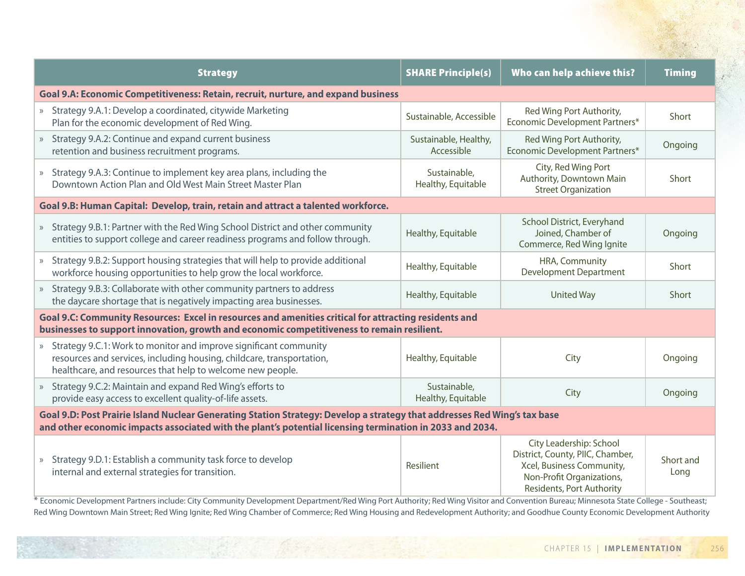| <b>Strategy</b>                                                                                                                                                                                                                      | <b>SHARE Principle(s)</b>           | Who can help achieve this?                                                                                                                         | <b>Timing</b>     |  |  |
|--------------------------------------------------------------------------------------------------------------------------------------------------------------------------------------------------------------------------------------|-------------------------------------|----------------------------------------------------------------------------------------------------------------------------------------------------|-------------------|--|--|
| Goal 9.A: Economic Competitiveness: Retain, recruit, nurture, and expand business                                                                                                                                                    |                                     |                                                                                                                                                    |                   |  |  |
| » Strategy 9.A.1: Develop a coordinated, citywide Marketing<br>Plan for the economic development of Red Wing.                                                                                                                        | Sustainable, Accessible             | Red Wing Port Authority,<br>Economic Development Partners*                                                                                         | Short             |  |  |
| » Strategy 9.A.2: Continue and expand current business<br>retention and business recruitment programs.                                                                                                                               | Sustainable, Healthy,<br>Accessible | Red Wing Port Authority,<br>Economic Development Partners*                                                                                         | Ongoing           |  |  |
| » Strategy 9.A.3: Continue to implement key area plans, including the<br>Downtown Action Plan and Old West Main Street Master Plan                                                                                                   | Sustainable,<br>Healthy, Equitable  | City, Red Wing Port<br>Authority, Downtown Main<br><b>Street Organization</b>                                                                      | Short             |  |  |
| Goal 9.B: Human Capital: Develop, train, retain and attract a talented workforce.                                                                                                                                                    |                                     |                                                                                                                                                    |                   |  |  |
| » Strategy 9.B.1: Partner with the Red Wing School District and other community<br>entities to support college and career readiness programs and follow through.                                                                     | Healthy, Equitable                  | School District, Everyhand<br>Joined, Chamber of<br>Commerce, Red Wing Ignite                                                                      | Ongoing           |  |  |
| » Strategy 9.B.2: Support housing strategies that will help to provide additional<br>workforce housing opportunities to help grow the local workforce.                                                                               | Healthy, Equitable                  | HRA, Community<br><b>Development Department</b>                                                                                                    | Short             |  |  |
| » Strategy 9.B.3: Collaborate with other community partners to address<br>the daycare shortage that is negatively impacting area businesses.                                                                                         | Healthy, Equitable                  | <b>United Way</b>                                                                                                                                  | Short             |  |  |
| Goal 9.C: Community Resources: Excel in resources and amenities critical for attracting residents and<br>businesses to support innovation, growth and economic competitiveness to remain resilient.                                  |                                     |                                                                                                                                                    |                   |  |  |
| » Strategy 9.C.1: Work to monitor and improve significant community<br>resources and services, including housing, childcare, transportation,<br>healthcare, and resources that help to welcome new people.                           | Healthy, Equitable                  | City                                                                                                                                               | Ongoing           |  |  |
| » Strategy 9.C.2: Maintain and expand Red Wing's efforts to<br>provide easy access to excellent quality-of-life assets.                                                                                                              | Sustainable,<br>Healthy, Equitable  | City                                                                                                                                               | Ongoing           |  |  |
| Goal 9.D: Post Prairie Island Nuclear Generating Station Strategy: Develop a strategy that addresses Red Wing's tax base<br>and other economic impacts associated with the plant's potential licensing termination in 2033 and 2034. |                                     |                                                                                                                                                    |                   |  |  |
| » Strategy 9.D.1: Establish a community task force to develop<br>internal and external strategies for transition.                                                                                                                    | Resilient                           | City Leadership: School<br>District, County, PIIC, Chamber,<br>Xcel, Business Community,<br>Non-Profit Organizations,<br>Residents, Port Authority | Short and<br>Long |  |  |

\* Economic Development Partners include: City Community Development Department/Red Wing Port Authority; Red Wing Visitor and Convention Bureau; Minnesota State College - Southeast; Red Wing Downtown Main Street; Red Wing Ignite; Red Wing Chamber of Commerce; Red Wing Housing and Redevelopment Authority; and Goodhue County Economic Development Authority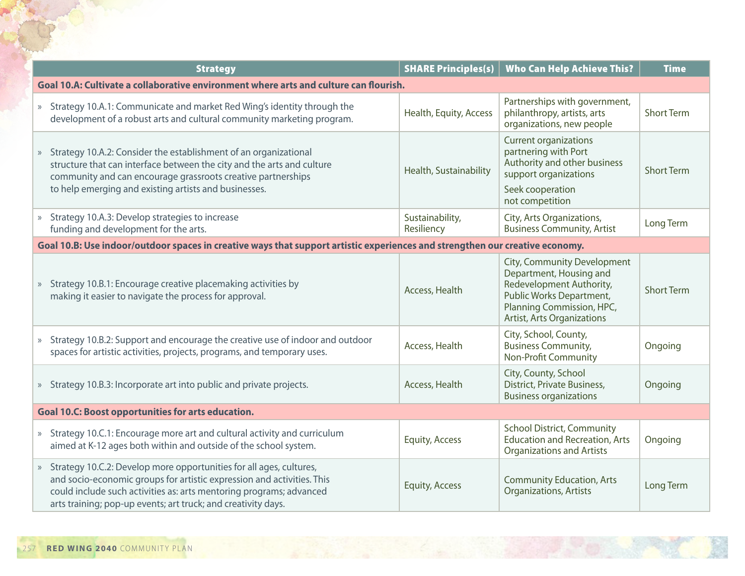| <b>Strategy</b>                                                                                                                                                                                                                                                                         | <b>SHARE Principles(s)</b>    | <b>Who Can Help Achieve This?</b>                                                                                                                                                | <b>Time</b>       |  |
|-----------------------------------------------------------------------------------------------------------------------------------------------------------------------------------------------------------------------------------------------------------------------------------------|-------------------------------|----------------------------------------------------------------------------------------------------------------------------------------------------------------------------------|-------------------|--|
| Goal 10.A: Cultivate a collaborative environment where arts and culture can flourish.                                                                                                                                                                                                   |                               |                                                                                                                                                                                  |                   |  |
| » Strategy 10.A.1: Communicate and market Red Wing's identity through the<br>development of a robust arts and cultural community marketing program.                                                                                                                                     | Health, Equity, Access        | Partnerships with government,<br>philanthropy, artists, arts<br>organizations, new people                                                                                        | <b>Short Term</b> |  |
| » Strategy 10.A.2: Consider the establishment of an organizational<br>structure that can interface between the city and the arts and culture<br>community and can encourage grassroots creative partnerships<br>to help emerging and existing artists and businesses.                   | Health, Sustainability        | <b>Current organizations</b><br>partnering with Port<br>Authority and other business<br>support organizations<br>Seek cooperation<br>not competition                             | <b>Short Term</b> |  |
| » Strategy 10.A.3: Develop strategies to increase<br>funding and development for the arts.                                                                                                                                                                                              | Sustainability,<br>Resiliency | City, Arts Organizations,<br><b>Business Community, Artist</b>                                                                                                                   | Long Term         |  |
| Goal 10.B: Use indoor/outdoor spaces in creative ways that support artistic experiences and strengthen our creative economy.                                                                                                                                                            |                               |                                                                                                                                                                                  |                   |  |
| » Strategy 10.B.1: Encourage creative placemaking activities by<br>making it easier to navigate the process for approval.                                                                                                                                                               | Access, Health                | City, Community Development<br>Department, Housing and<br>Redevelopment Authority,<br>Public Works Department,<br>Planning Commission, HPC,<br><b>Artist, Arts Organizations</b> | <b>Short Term</b> |  |
| » Strategy 10.B.2: Support and encourage the creative use of indoor and outdoor<br>spaces for artistic activities, projects, programs, and temporary uses.                                                                                                                              | Access, Health                | City, School, County,<br><b>Business Community,</b><br><b>Non-Profit Community</b>                                                                                               | Ongoing           |  |
| » Strategy 10.B.3: Incorporate art into public and private projects.                                                                                                                                                                                                                    | Access, Health                | City, County, School<br>District, Private Business,<br><b>Business organizations</b>                                                                                             | Ongoing           |  |
| <b>Goal 10.C: Boost opportunities for arts education.</b>                                                                                                                                                                                                                               |                               |                                                                                                                                                                                  |                   |  |
| » Strategy 10.C.1: Encourage more art and cultural activity and curriculum<br>aimed at K-12 ages both within and outside of the school system.                                                                                                                                          | <b>Equity, Access</b>         | <b>School District, Community</b><br><b>Education and Recreation, Arts</b><br><b>Organizations and Artists</b>                                                                   | Ongoing           |  |
| » Strategy 10.C.2: Develop more opportunities for all ages, cultures,<br>and socio-economic groups for artistic expression and activities. This<br>could include such activities as: arts mentoring programs; advanced<br>arts training; pop-up events; art truck; and creativity days. | <b>Equity, Access</b>         | <b>Community Education, Arts</b><br><b>Organizations, Artists</b>                                                                                                                | Long Term         |  |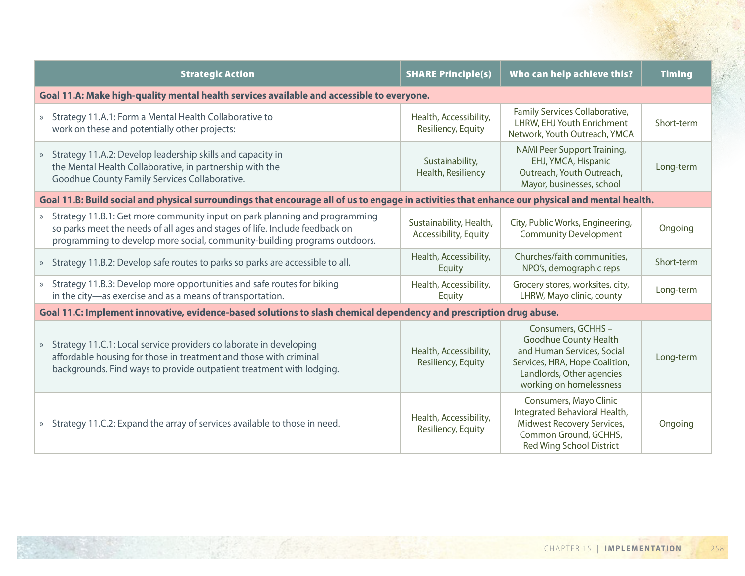| <b>Strategic Action</b>                                                                                                                                                                                                                  | <b>SHARE Principle(s)</b>                        | Who can help achieve this?                                                                                                                                         | <b>Timing</b> |  |
|------------------------------------------------------------------------------------------------------------------------------------------------------------------------------------------------------------------------------------------|--------------------------------------------------|--------------------------------------------------------------------------------------------------------------------------------------------------------------------|---------------|--|
| Goal 11.A: Make high-quality mental health services available and accessible to everyone.                                                                                                                                                |                                                  |                                                                                                                                                                    |               |  |
| » Strategy 11.A.1: Form a Mental Health Collaborative to<br>work on these and potentially other projects:                                                                                                                                | Health, Accessibility,<br>Resiliency, Equity     | Family Services Collaborative,<br>LHRW, EHJ Youth Enrichment<br>Network, Youth Outreach, YMCA                                                                      | Short-term    |  |
| » Strategy 11.A.2: Develop leadership skills and capacity in<br>the Mental Health Collaborative, in partnership with the<br>Goodhue County Family Services Collaborative.                                                                | Sustainability,<br>Health, Resiliency            | NAMI Peer Support Training,<br>EHJ, YMCA, Hispanic<br>Outreach, Youth Outreach,<br>Mayor, businesses, school                                                       | Long-term     |  |
| Goal 11.B: Build social and physical surroundings that encourage all of us to engage in activities that enhance our physical and mental health.                                                                                          |                                                  |                                                                                                                                                                    |               |  |
| » Strategy 11.B.1: Get more community input on park planning and programming<br>so parks meet the needs of all ages and stages of life. Include feedback on<br>programming to develop more social, community-building programs outdoors. | Sustainability, Health,<br>Accessibility, Equity | City, Public Works, Engineering,<br><b>Community Development</b>                                                                                                   | Ongoing       |  |
| » Strategy 11.B.2: Develop safe routes to parks so parks are accessible to all.                                                                                                                                                          | Health, Accessibility,<br>Equity                 | Churches/faith communities,<br>NPO's, demographic reps                                                                                                             | Short-term    |  |
| » Strategy 11.B.3: Develop more opportunities and safe routes for biking<br>in the city-as exercise and as a means of transportation.                                                                                                    | Health, Accessibility,<br>Equity                 | Grocery stores, worksites, city,<br>LHRW, Mayo clinic, county                                                                                                      | Long-term     |  |
| Goal 11.C: Implement innovative, evidence-based solutions to slash chemical dependency and prescription drug abuse.                                                                                                                      |                                                  |                                                                                                                                                                    |               |  |
| » Strategy 11.C.1: Local service providers collaborate in developing<br>affordable housing for those in treatment and those with criminal<br>backgrounds. Find ways to provide outpatient treatment with lodging.                        | Health, Accessibility,<br>Resiliency, Equity     | Consumers, GCHHS-<br>Goodhue County Health<br>and Human Services, Social<br>Services, HRA, Hope Coalition,<br>Landlords, Other agencies<br>working on homelessness | Long-term     |  |
| » Strategy 11.C.2: Expand the array of services available to those in need.                                                                                                                                                              | Health, Accessibility,<br>Resiliency, Equity     | Consumers, Mayo Clinic<br>Integrated Behavioral Health,<br>Midwest Recovery Services,<br>Common Ground, GCHHS,<br><b>Red Wing School District</b>                  | Ongoing       |  |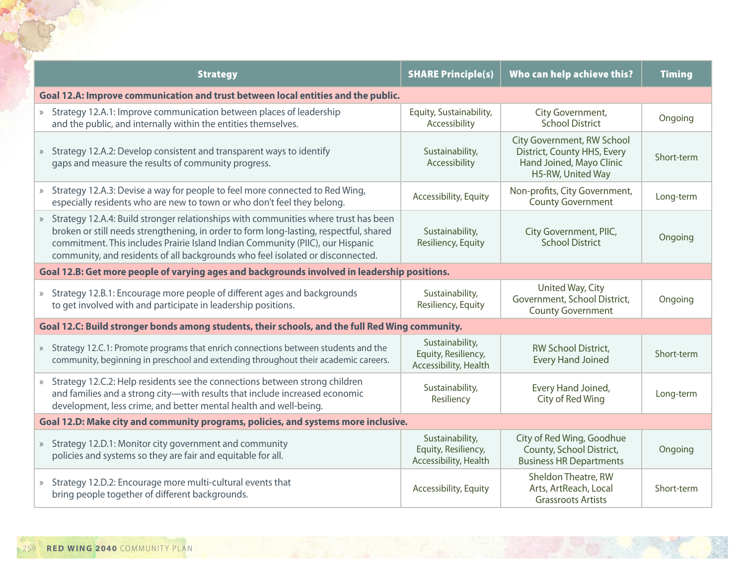| <b>Strategy</b>                                                                                                                                                                                                                                                                                                                                     | <b>SHARE Principle(s)</b>                                       | Who can help achieve this?                                                                                 | <b>Timing</b> |  |
|-----------------------------------------------------------------------------------------------------------------------------------------------------------------------------------------------------------------------------------------------------------------------------------------------------------------------------------------------------|-----------------------------------------------------------------|------------------------------------------------------------------------------------------------------------|---------------|--|
| Goal 12.A: Improve communication and trust between local entities and the public.                                                                                                                                                                                                                                                                   |                                                                 |                                                                                                            |               |  |
| » Strategy 12.A.1: Improve communication between places of leadership<br>and the public, and internally within the entities themselves.                                                                                                                                                                                                             | Equity, Sustainability,<br>Accessibility                        | City Government,<br><b>School District</b>                                                                 | Ongoing       |  |
| » Strategy 12.A.2: Develop consistent and transparent ways to identify<br>gaps and measure the results of community progress.                                                                                                                                                                                                                       | Sustainability,<br>Accessibility                                | City Government, RW School<br>District, County HHS, Every<br>Hand Joined, Mayo Clinic<br>H5-RW, United Way | Short-term    |  |
| » Strategy 12.A.3: Devise a way for people to feel more connected to Red Wing,<br>especially residents who are new to town or who don't feel they belong.                                                                                                                                                                                           | Accessibility, Equity                                           | Non-profits, City Government,<br><b>County Government</b>                                                  | Long-term     |  |
| » Strategy 12.A.4: Build stronger relationships with communities where trust has been<br>broken or still needs strengthening, in order to form long-lasting, respectful, shared<br>commitment. This includes Prairie Island Indian Community (PIIC), our Hispanic<br>community, and residents of all backgrounds who feel isolated or disconnected. | Sustainability,<br>Resiliency, Equity                           | City Government, PIIC,<br><b>School District</b>                                                           | Ongoing       |  |
| Goal 12.B: Get more people of varying ages and backgrounds involved in leadership positions.                                                                                                                                                                                                                                                        |                                                                 |                                                                                                            |               |  |
| » Strategy 12.B.1: Encourage more people of different ages and backgrounds<br>to get involved with and participate in leadership positions.                                                                                                                                                                                                         | Sustainability,<br>Resiliency, Equity                           | United Way, City<br>Government, School District,<br><b>County Government</b>                               | Ongoing       |  |
| Goal 12.C: Build stronger bonds among students, their schools, and the full Red Wing community.                                                                                                                                                                                                                                                     |                                                                 |                                                                                                            |               |  |
| » Strategy 12.C.1: Promote programs that enrich connections between students and the<br>community, beginning in preschool and extending throughout their academic careers.                                                                                                                                                                          | Sustainability,<br>Equity, Resiliency,<br>Accessibility, Health | RW School District,<br><b>Every Hand Joined</b>                                                            | Short-term    |  |
| » Strategy 12.C.2: Help residents see the connections between strong children<br>and families and a strong city-with results that include increased economic<br>development, less crime, and better mental health and well-being.                                                                                                                   | Sustainability,<br>Resiliency                                   | Every Hand Joined,<br>City of Red Wing                                                                     | Long-term     |  |
| Goal 12.D: Make city and community programs, policies, and systems more inclusive.                                                                                                                                                                                                                                                                  |                                                                 |                                                                                                            |               |  |
| » Strategy 12.D.1: Monitor city government and community<br>policies and systems so they are fair and equitable for all.                                                                                                                                                                                                                            | Sustainability,<br>Equity, Resiliency,<br>Accessibility, Health | City of Red Wing, Goodhue<br>County, School District,<br><b>Business HR Departments</b>                    | Ongoing       |  |
| » Strategy 12.D.2: Encourage more multi-cultural events that<br>bring people together of different backgrounds.                                                                                                                                                                                                                                     | Accessibility, Equity                                           | Sheldon Theatre, RW<br>Arts, ArtReach, Local<br><b>Grassroots Artists</b>                                  | Short-term    |  |

THE R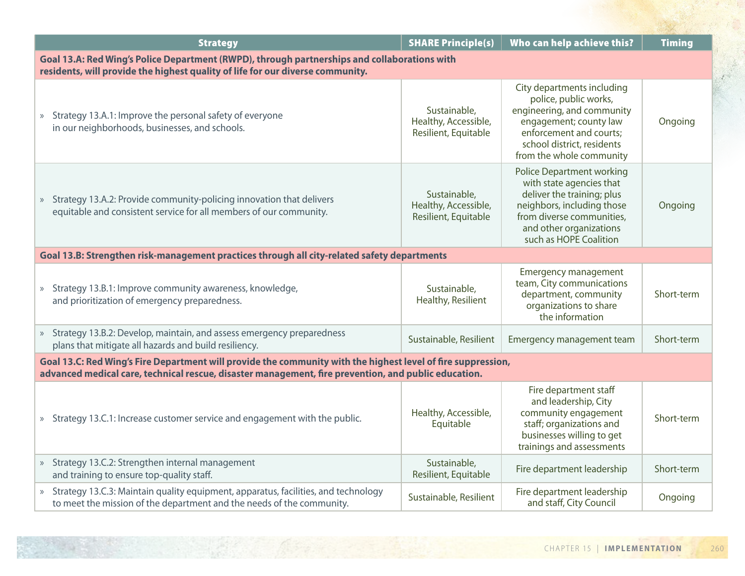| <b>Strategy</b>                                                                                                                                                                                                      | <b>SHARE Principle(s)</b>                                    | Who can help achieve this?                                                                                                                                                                                 | <b>Timing</b> |  |  |
|----------------------------------------------------------------------------------------------------------------------------------------------------------------------------------------------------------------------|--------------------------------------------------------------|------------------------------------------------------------------------------------------------------------------------------------------------------------------------------------------------------------|---------------|--|--|
| Goal 13.A: Red Wing's Police Department (RWPD), through partnerships and collaborations with<br>residents, will provide the highest quality of life for our diverse community.                                       |                                                              |                                                                                                                                                                                                            |               |  |  |
| » Strategy 13.A.1: Improve the personal safety of everyone<br>in our neighborhoods, businesses, and schools.                                                                                                         | Sustainable,<br>Healthy, Accessible,<br>Resilient, Equitable | City departments including<br>police, public works,<br>engineering, and community<br>engagement; county law<br>enforcement and courts;<br>school district, residents<br>from the whole community           | Ongoing       |  |  |
| » Strategy 13.A.2: Provide community-policing innovation that delivers<br>equitable and consistent service for all members of our community.                                                                         | Sustainable,<br>Healthy, Accessible,<br>Resilient, Equitable | <b>Police Department working</b><br>with state agencies that<br>deliver the training; plus<br>neighbors, including those<br>from diverse communities,<br>and other organizations<br>such as HOPE Coalition | Ongoing       |  |  |
| Goal 13.B: Strengthen risk-management practices through all city-related safety departments                                                                                                                          |                                                              |                                                                                                                                                                                                            |               |  |  |
| » Strategy 13.B.1: Improve community awareness, knowledge,<br>and prioritization of emergency preparedness.                                                                                                          | Sustainable,<br>Healthy, Resilient                           | <b>Emergency management</b><br>team, City communications<br>department, community<br>organizations to share<br>the information                                                                             | Short-term    |  |  |
| » Strategy 13.B.2: Develop, maintain, and assess emergency preparedness<br>plans that mitigate all hazards and build resiliency.                                                                                     | Sustainable, Resilient                                       | Emergency management team                                                                                                                                                                                  | Short-term    |  |  |
| Goal 13.C: Red Wing's Fire Department will provide the community with the highest level of fire suppression,<br>advanced medical care, technical rescue, disaster management, fire prevention, and public education. |                                                              |                                                                                                                                                                                                            |               |  |  |
| » Strategy 13.C.1: Increase customer service and engagement with the public.                                                                                                                                         | Healthy, Accessible,<br>Equitable                            | Fire department staff<br>and leadership, City<br>community engagement<br>staff; organizations and<br>businesses willing to get<br>trainings and assessments                                                | Short-term    |  |  |
| » Strategy 13.C.2: Strengthen internal management<br>and training to ensure top-quality staff.                                                                                                                       | Sustainable,<br>Resilient, Equitable                         | Fire department leadership                                                                                                                                                                                 | Short-term    |  |  |
| » Strategy 13.C.3: Maintain quality equipment, apparatus, facilities, and technology<br>to meet the mission of the department and the needs of the community.                                                        | Sustainable, Resilient                                       | Fire department leadership<br>and staff, City Council                                                                                                                                                      | Ongoing       |  |  |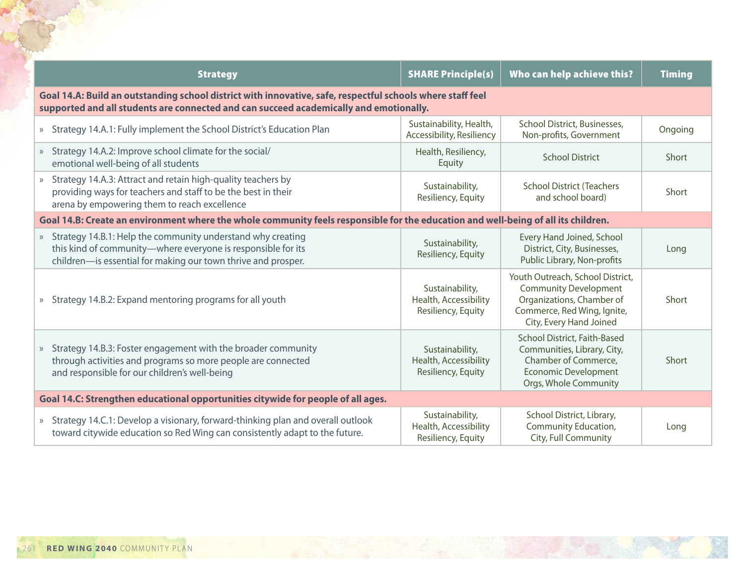|                                                                                                                                                                                                      | <b>Strategy</b>                                                                                                                                                                                | <b>SHARE Principle(s)</b>                                      | Who can help achieve this?                                                                                                                              | <b>Timing</b> |  |
|------------------------------------------------------------------------------------------------------------------------------------------------------------------------------------------------------|------------------------------------------------------------------------------------------------------------------------------------------------------------------------------------------------|----------------------------------------------------------------|---------------------------------------------------------------------------------------------------------------------------------------------------------|---------------|--|
| Goal 14.A: Build an outstanding school district with innovative, safe, respectful schools where staff feel<br>supported and all students are connected and can succeed academically and emotionally. |                                                                                                                                                                                                |                                                                |                                                                                                                                                         |               |  |
|                                                                                                                                                                                                      | » Strategy 14.A.1: Fully implement the School District's Education Plan                                                                                                                        | Sustainability, Health,<br><b>Accessibility, Resiliency</b>    | School District, Businesses,<br>Non-profits, Government                                                                                                 | Ongoing       |  |
|                                                                                                                                                                                                      | » Strategy 14.A.2: Improve school climate for the social/<br>emotional well-being of all students                                                                                              | Health, Resiliency,<br>Equity                                  | <b>School District</b>                                                                                                                                  | Short         |  |
|                                                                                                                                                                                                      | » Strategy 14.A.3: Attract and retain high-quality teachers by<br>providing ways for teachers and staff to be the best in their<br>arena by empowering them to reach excellence                | Sustainability,<br>Resiliency, Equity                          | <b>School District (Teachers</b><br>and school board)                                                                                                   | Short         |  |
|                                                                                                                                                                                                      | Goal 14.B: Create an environment where the whole community feels responsible for the education and well-being of all its children.                                                             |                                                                |                                                                                                                                                         |               |  |
|                                                                                                                                                                                                      | » Strategy 14.B.1: Help the community understand why creating<br>this kind of community-where everyone is responsible for its<br>children-is essential for making our town thrive and prosper. | Sustainability,<br>Resiliency, Equity                          | Every Hand Joined, School<br>District, City, Businesses,<br>Public Library, Non-profits                                                                 | Long          |  |
|                                                                                                                                                                                                      | » Strategy 14.B.2: Expand mentoring programs for all youth                                                                                                                                     | Sustainability,<br>Health, Accessibility<br>Resiliency, Equity | Youth Outreach, School District,<br><b>Community Development</b><br>Organizations, Chamber of<br>Commerce, Red Wing, Ignite,<br>City, Every Hand Joined | Short         |  |
|                                                                                                                                                                                                      | » Strategy 14.B.3: Foster engagement with the broader community<br>through activities and programs so more people are connected<br>and responsible for our children's well-being               | Sustainability,<br>Health, Accessibility<br>Resiliency, Equity | School District, Faith-Based<br>Communities, Library, City,<br>Chamber of Commerce,<br><b>Economic Development</b><br>Orgs, Whole Community             | Short         |  |
|                                                                                                                                                                                                      | Goal 14.C: Strengthen educational opportunities citywide for people of all ages.                                                                                                               |                                                                |                                                                                                                                                         |               |  |
|                                                                                                                                                                                                      | » Strategy 14.C.1: Develop a visionary, forward-thinking plan and overall outlook<br>toward citywide education so Red Wing can consistently adapt to the future.                               | Sustainability,<br>Health, Accessibility<br>Resiliency, Equity | School District, Library,<br>Community Education,<br>City, Full Community                                                                               | Long          |  |

 $50^{11}$ 

TOP